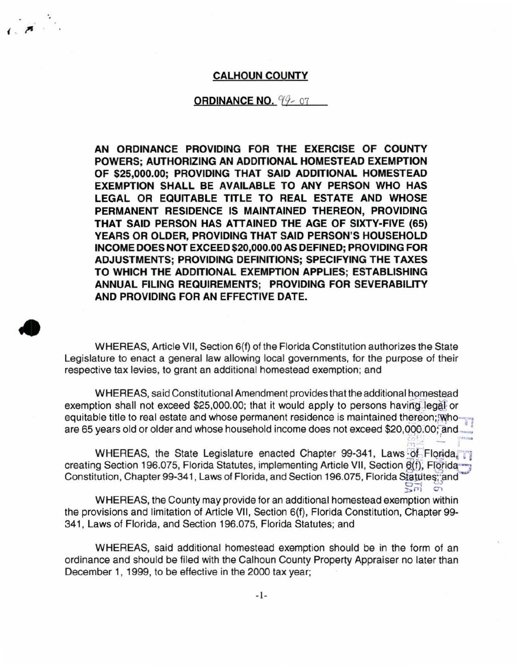## **CALHOUN COUNTY**

·.

•

## **ORDINANCE NO.**  $94 - 07$

**AN ORDINANCE PROVIDING FOR THE EXERCISE OF COUNTY POWERS; AUTHORIZING AN ADDITIONAL HOMESTEAD EXEMPTION OF \$25,000.00; PROVIDING THAT SAID ADDITIONAL HOMESTEAD EXEMPTION SHALL BE AVAILABLE TO ANY PERSON WHO HAS LEGAL OR EQUITABLE TITLE TO REAL ESTATE AND WHOSE PERMANENT RESIDENCE IS MAINTAINED THEREON, PROVIDING THAT SAID PERSON HAS ATTAINED THE AGE OF SIXTY-FIVE (65) YEARS OR OLDER, PROVIDING THAT SAID PERSON'S HOUSEHOLD INCOME DOES NOT EXCEED \$20,000.00 AS DEFINED; PROVIDING FOR ADJUSTMENTS; PROVIDING DEFINITIONS; SPECIFYING THE TAXES TO WHICH THE ADDITIONAL EXEMPTION APPLIES; ESTABLISHING ANNUAL FILING REQUIREMENTS; PROVIDING FOR SEVERABILITY AND PROVIDING FOR AN EFFECTIVE DATE.** 

WHEREAS, Article VII, Section 6(f) of the Florida Constitution authorizes the State Legislature to enact a general law allowing local governments, for the purpose of their respective tax levies, to grant an additional homestead exemption; and

WHEREAS, said Constitutional Amendment provides that the additional homestead exemption shall not exceed \$25,000.00; that it would apply to persons having legal or equitable title to real estate and whose permanent residence is maintained thereon; whoare 65 years old or older and whose household income does not exceed \$20,000.00; and

WHEREAS, the State Legislature enacted Chapter 99-341, Laws of Florida, creating Section 196.075, Florida Statutes, implementing Article VII, Section 6(f), Florida Constitution, Chapter 99-341, Laws of Florida, and Section 196.075, Florida Statutes; and 0-i original of original original original original original original original original original original original original original  $\Xi$ 

WHEREAS, the County may provide for an additional homestead exemption within the provisions and limitation of Article VII, Section 6(f), Florida Constitution, Chapter 99- 341, Laws of Florida, and Section 196.075, Florida Statutes; and

WHEREAS, said additional homestead exemption should be in the form of an ordinance and should be filed with the Calhoun County Property Appraiser no later than December 1, 1999, to be effective in the 2000 tax year;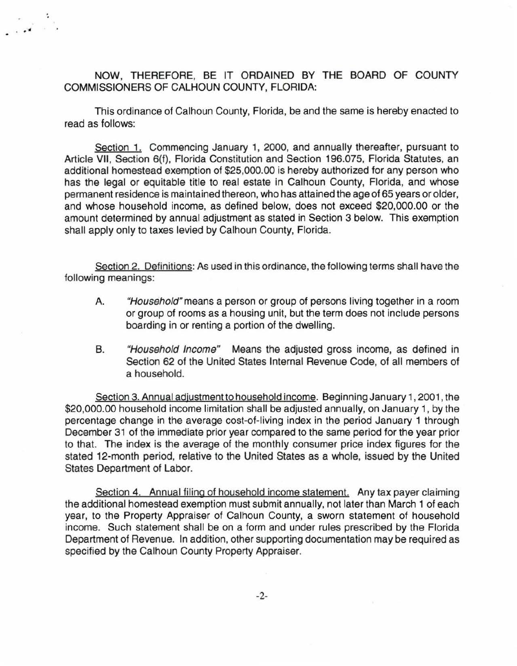NOW, THEREFORE, BE IT ORDAINED BY THE BOARD OF COUNTY COMMISSIONERS OF CALHOUN COUNTY, FLORIDA:

 $\frac{1}{2}$ 

This ordinance of Calhoun County, Florida, be and the same is hereby enacted to read as follows:

Section 1. Commencing January 1. 2000, and annually thereafter, pursuant to Article VII, Section 6(f), Florida Constitution and Section 196.075, Florida Statutes, an additional homestead exemption of \$25,000.00 is hereby authorized for any person who has the legal or equitable title to real estate in Calhoun County, Florida, and whose permanent residence is maintained thereon, who has attained the age of 65 years or older, and whose household income, as defined below, does not exceed \$20,000.00 or the amount determined by annual adjustment as stated in Section 3 below. This exemption shall apply only to taxes levied by Calhoun County, Florida.

Section 2. Definitions: As used in this ordinance, the following terms shall have the following meanings:

- A. "Household" means a person or group of persons living together in a room or group of rooms as a housing unit, but the term does not include persons boarding in or renting a portion of the dwelling.
- B. "Household Income" Means the adjusted gross income, as defined in Section 62 of the United States Internal Revenue Code, of all members of a household.

Section 3. Annual adjustment to household income. Beginning January 1, 2001 , the \$20,000.00 household income limitation shall be adjusted annually, on January 1, by the percentage change in the average cost-of-living index in the period January 1 through December 31 of the immediate prior year compared to the same period for the year prior to that. The index is the average of the monthly consumer price index figures for the stated 12-month period, relative to the United States as a whole, issued by the United States Department of Labor.

Section 4. Annual filing of household income statement. Any tax payer claiming the additional homestead exemption must submit annually, not later than March 1 of each year, to the Property Appraiser of Calhoun County, a sworn statement of household income. Such statement shall be on a form and under rules prescribed by the Florida Department of Revenue. In addition, other supporting documentation may be required as specified by the Calhoun County Property Appraiser.